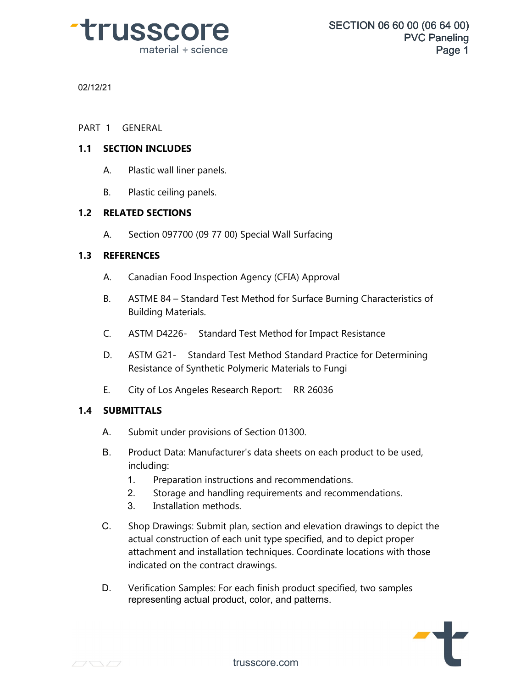

02/12/21

02/12/21<br>PART 1 GENERAL<br>11 SECTION INCLUDES

# **PART 1 GENERAL<br>
1.1 SECTION INCLUDES<br>
A Plastis wall lines papals**

- 1 GENERAL<br>**SECTION INCLUDES**<br>A. Plastic wall liner panels. **SECTION INCLUDES**<br>A. Plastic wall liner panels.<br>B. Plastic ceiling panels.<br>PELATED SECTIONS A. Plastic wall liner panels.<br> **1.2 RELATED SECTIONS** 
	-

# **1.2 RELATED SECTIONS**<br>
A. Section 097700 (<br> **1.3 REFERENCES**

B. Plastic ceiling panels.<br>**RELATED SECTIONS**<br>A. Section 097700 (09 77 00) Special Wall Surfacing<br>PEEERENCES

- A. Section 097700 (09 77 00) Special Wall Surfacing<br> **REFERENCES**<br>
A. Canadian Food Inspection Agency (CFIA) Approval<br>
B. ASTAE 94, Standard Test Method for Surface Burning Chari
- REFERENCES<br>A. Canadian Food Inspection Agency (CFIA) Approval<br>B. ASTME 84 Standard Test Method for Surface Burning Characteristics of<br>Building Materials. Building Materials. A. Canadian Food Inspection Agency (CFIA) Approval<br>
B. ASTME 84 – Standard Test Method for Surface Burning Characteristics<br>
Building Materials.<br>
C. ASTM D4226- Standard Test Method for Impact Resistance<br>
D. ASTM G21 - Stan
- 
- B. ASTME 84 Standard Test Method for Surface Burning Characteristics of<br>Building Materials.<br>C. ASTM D4226- Standard Test Method for Impact Resistance<br>D. ASTM G21- Standard Test Method Standard Practice for Determining<br>Re ASTM D4226- Standard Test Method for Impact Resistance<br>ASTM G21- Standard Test Method Standard Practice for De<br>Resistance of Synthetic Polymeric Materials to Fungi<br>City of Los Angeles Research Report: RR 26036 C. ASTM D4226- Standard Test Method for Impact Resista<br>D. ASTM G21- Standard Test Method Standard Practice for<br>Resistance of Synthetic Polymeric Materials to Fungi<br>E. City of Los Angeles Research Report: RR 26036<br>SURMITTAL D. ASTM G21- Sta<br>
Resistance of Syn<br> **1.4 SUBMITTALS** 
	-

- A. Submit under provisions of Section 01300.
- B. Product Data: Manufacturer's data sheets on each product to be used, including:
	- 1. Preparation instructions and recommendations.
	- 2. Storage and handling requirements and recommendations.
	- 3. Installation methods.
- C. Shop Drawings: Submit plan, section and elevation drawings to depict the actual construction of each unit type specified, and to depict proper attachment and installation techniques. Coordinate locations with those indicated on the contract drawings.
- D. Verification Samples: For each finish product specified, two samples representing actual product, color, and patterns.

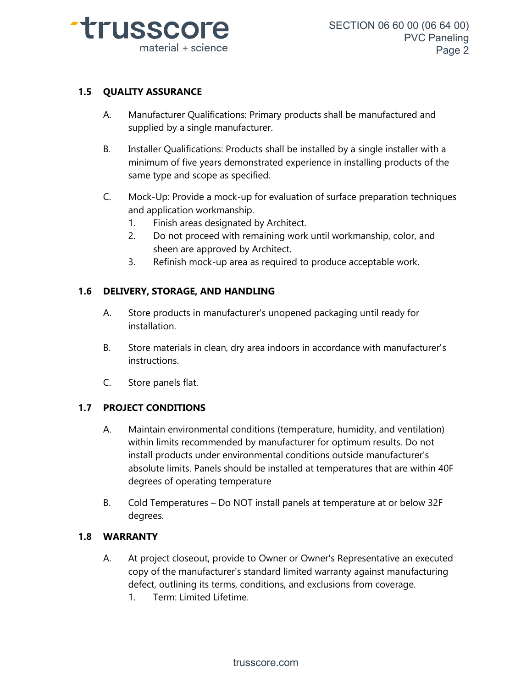

## **1.5 QUALITY ASSURANCE**

- **QUALITY ASSURANCE**<br>A. Manufacturer Qualifications: Primary products shall be manufactured and<br>supplied by a single manufacturer. **ITY ASSURANCE**<br>Manufacturer Qualifications: Primary p<br>supplied by a single manufacturer.<br>Installer Qualifications: Products shall.
- SURLITT ASSURANCE<br>
A. Manufacturer Qualifications: Primary products shall be manufactured and<br>
supplied by a single manufacturer.<br>
B. Installer Qualifications: Products shall be installed by a single installer with a<br>
mini same type and scope as specified. B. Installer Qualifications: Products shall be installed by a single installer with a<br>minimum of five years demonstrated experience in installing products of the<br>same type and scope as specified.<br>C. Mock-Up: Provide a mock
- and application workmanship. Finish areas designations and type and scope as specified.<br>
1. Finish areas designated by Architect.<br>
2. Do not proceed with remaining work une 2. Mock-Up: Provide a mock-up for evaluation of surface preparation techniques<br>and application workmanship.<br>1. Finish areas designated by Architect.<br>2. Do not proceed with remaining work until workmanship, color, and<br>sheen
	-
- sheen are approved by Architect. 3. Finish areas designated by Architect.<br>
2. Do not proceed with remaining work until workmanship, color, and<br>
sheen are approved by Architect.<br>
3. Refinish mock-up area as required to produce acceptable work. 2. Do not proceed with remaining work unt<br>sheen are approved by Architect.<br>3. Refinish mock-up area as required to pro<br>**1.6 DELIVERY, STORAGE, AND HANDLING** 
	-

- **1.6 DELIVERY, STORAGE, AND HANDLING**<br>A. Store products in manufacturer's unopened packaging until ready for installation.
- B. Store materials in clean, dry area indoors in accordance with manufacturer's instructions. mostallation.<br>
B. Store materials in cle<br>
instructions.<br>
C. Store panels flat. **1.7 PROJECT CONDITIONS**<br>
A Maintain environmental conditions
	-

- C. Store panels flat.<br> **1.7 PROJECT CONDITIONS**<br>
A. Maintain environmental conditions (temperature, humidity, and ventilation) within limits recommended by manufacturer for optimum results. Do not install products under environmental conditions outside manufacturer's absolute limits. Panels and its interpretative, the midity, and ventilation)<br>within limits recommended by manufacturer for optimum results. Do not<br>install products under environmental conditions outside manufacturer's<br>abso degrees of operating temperature B. Cold Temperatures – Do NOT install panels at temperature at or below 32F<br>degrees of operating temperature<br>B. Cold Temperatures – Do NOT install panels at temperature at or below 32F<br>degrees. THE USSCOPE SECTION 06 600 (06 64 00)<br>
meterial + science<br>
Network and the metric of the science<br>
A Metric Complete and the metric of the science<br>
signal and supplies of the science of the science of the science of the sci
	- degrees. degrees of opera<br> **1.8 WARRANTY**<br> **1.8 WARRANTY**

- B. Cold Temperatures Do NOT install panels at temperature at or below 32F<br>degrees.<br>**WARRANTY**<br>A. At project closeout, provide to Owner or Owner's Representative an executed<br>copy of the manufacturer's standard limited war copy of the manufacturer's standard limited warranty against manufacturing defect, outlining its terms, conditions, and exclusions from coverage. 2.1.1.1<br>At project closeout, provide to C<br>copy of the manufacturer's stand<br>defect, outlining its terms, condi<br>1. Term: Limited Lifetime.
	-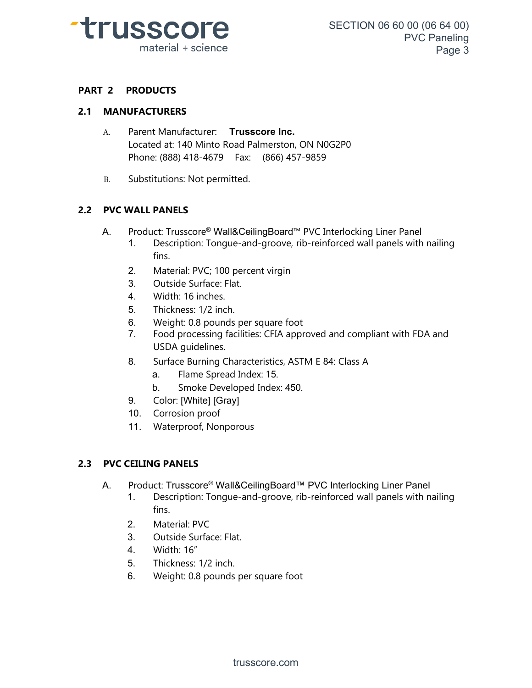

# **PART 2 PRODUCTS**

## **2.1 MANUFACTURERS**

- A. Parent Manufacturer: **Trusscore Inc.** Located at: 140 Minto Road Palmerston, ON N0G2P0 Phone: (888) 418-4679 Fax: (866) 457-9859
- B. Substitutions: Not permitted.

## **2.2 PVC WALL PANELS**

- A. Product: Trusscore® Wall&CeilingBoard™ PVC Interlocking Liner Panel
	- 1. Description: Tongue-and-groove, rib-reinforced wall panels with nailing fins.
	- 2. Material: PVC; 100 percent virgin
	- 3. Outside Surface: Flat.
	- 4. Width: 16 inches.
	- 5. Thickness: 1/2 inch.
	- 6. Weight: 0.8 pounds per square foot
	- 7. Food processing facilities: CFIA approved and compliant with FDA and USDA guidelines.
	- 8. Surface Burning Characteristics, ASTM E 84: Class A
		- a. Flame Spread Index: 15.
		- b. Smoke Developed Index: 450.
	- 9. Color: [White] [Gray]
	- 10. Corrosion proof
	- 11. Waterproof, Nonporous

# 10. Corrosion proof<br>11. Waterproof, Nonpor<br>**2.3 PVC CEILING PANELS**

- A. Product: Trusscore® Wall&CeilingBoard™ PVC Interlocking Liner Panel
	- 1. Description: Tongue-and-groove, rib-reinforced wall panels with nailing fins.
	- 2. Material: PVC
	- 3. Outside Surface: Flat.
	- 4. Width: 16"
	- 5. Thickness: 1/2 inch.
	- 6. Weight: 0.8 pounds per square foot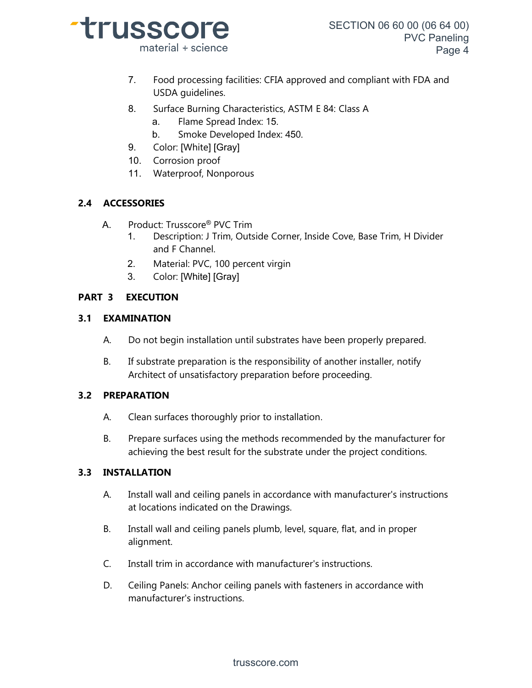

- 7. Food processing facilities: CFIA approved and compliant with FDA and USDA guidelines.
- 8. Surface Burning Characteristics, ASTM E 84: Class A
	- a. Flame Spread Index: 15.
	- b. Smoke Developed Index: 450.
- 9. Color: [White] [Gray]
- 10. Corrosion proof
- 11. Waterproof, Nonporous

# **2.4 ACCESSORIES**

- A. Product: Trusscore® PVC Trim
	- 1. Description: J Trim, Outside Corner, Inside Cove, Base Trim, H Divider and F Channel.
	- 2. Material: PVC, 100 percent virgin
	- 3. Color: [White] [Gray]

# **PART 3 EXECUTION**

## **3.1 EXAMINATION**

- A. Do not begin installation until substrates have been properly prepared.
- B. If substrate preparation is the responsibility of another installer, notify Architect of unsatisfactory preparation before proceeding.

# **3.2 PREPARATION**

- A. Clean surfaces thoroughly prior to installation.
- B. Prepare surfaces using the methods recommended by the manufacturer for achieving the best result for the substrate under the project conditions.

# **3.3 INSTALLATION**

- A. Install wall and ceiling panels in accordance with manufacturer's instructions at locations indicated on the Drawings.
- B. Install wall and ceiling panels plumb, level, square, flat, and in proper alignment.
- C. Install trim in accordance with manufacturer's instructions.
- D. Ceiling Panels: Anchor ceiling panels with fasteners in accordance with manufacturer's instructions.